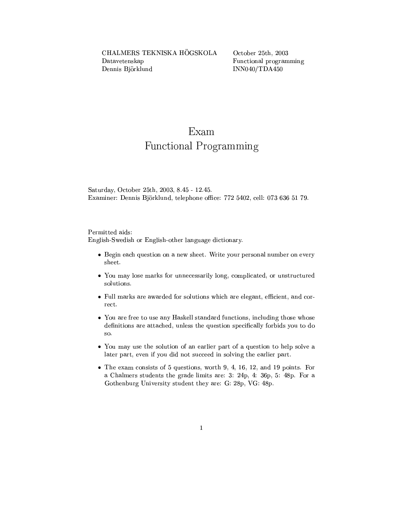October 25th, 2003 Functional programming  $INN040/TDA450$ 

## Exam

## **Functional Programming**

Saturday, October 25th, 2003, 8.45 - 12.45. Examiner: Dennis Björklund, telephone office: 772 5402, cell: 073 636 51 79.

## Permitted aids:

English-Swedish or English-other language dictionary.

- Begin each question on a new sheet. Write your personal number on every sheet.
- You may lose marks for unnecessarily long, complicated, or unstructured solutions.
- Full marks are awarded for solutions which are elegant, efficient, and correct.
- You are free to use any Haskell standard functions, including those whose definitions are attached, unless the question specifically forbids you to do so.
- You may use the solution of an earlier part of a question to help solve a later part, even if you did not succeed in solving the earlier part.
- $\bullet$  The exam consists of 5 questions, worth 9, 4, 16, 12, and 19 points. For a Chalmers students the grade limits are: 3: 24p, 4: 36p, 5: 48p. For a Gothenburg University student they are: G: 28p, VG: 48p.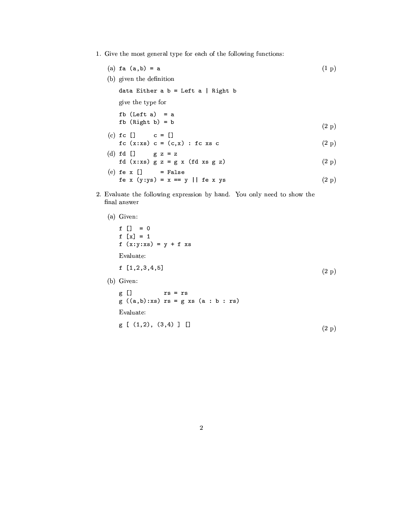- 1. Give the most general type for each of the following functions:
	- (a) fa  $(a, b) = a$  $(1 p)$
	- (b) given the definition data Either a  $b = \text{Left } a \mid \text{Right } b$ give the type for fb  $(Left a) = a$  $fb$  (Right b) = b  $(2 p)$  $(c)$  fc  $[]$  $c = [ ]$ fc  $(x:xs)$  c =  $(c,x)$  : fc xs c  $(2 p)$
	- (d)  $fd$  []  $gfz = z$ fd  $(x:xs)$   $g z = g x$  (fd  $xs g z$ )  $(2 p)$  $(e)$  fe x  $[]$  = False

$$
f e x (y:ys) = x == y || fe x ys
$$
 (2 p)

2. Evaluate the following expression by hand. You only need to show the final answer

```
(a) Given:
```
f [] =  $0$  $f[x] = 1$  $f(x:y:xs) = y + f xs$ Evaluate:  $f$  [1, 2, 3, 4, 5]  $(2 p)$ (b) Given:  $g$   $\Box$  $rs = rs$  $g ((a, b): xs) rs = g xs (a : b : rs)$ 

Evaluate:

 $g \; [\; (1,2), (3,4) ]$  []  $(2 p)$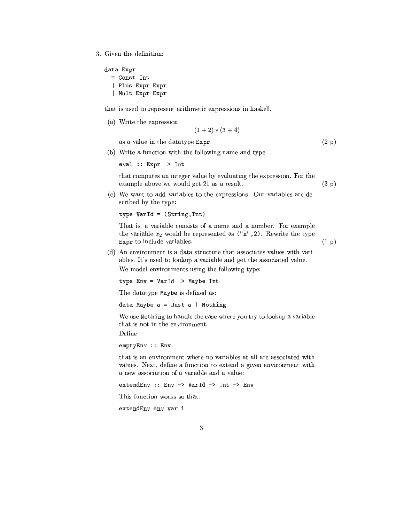3. Given the definition:

```
data Expr
  = Const Int
  | Plus Expr Expr
  | Mult Expr Expr
```
that is used to represent arithmetic expressions in haskell.

(a) Write the expression

 $(1+2)*(3+4)$ 

as a value in the datatype Expr

 $(2 p)$ 

 $(1\,\mathrm{p})$ 

(b) Write a function with the following name and type

eval ::  $Expr \rightarrow Int$ 

that computes an integer value by evaluating the expression. For the example above we would get 21 as a result.  $(3 p)$ 

(c) We want to add variables to the expressions. Our variables are described by the type:

type VarId = (String, Int)

That is, a variable consists of a name and a number. For example the variable  $x_2$  would be represented as ("x", 2). Rewrite the type Expr to include variables.

(d) An environment is a data structure that associates values with variables. It's used to lookup a variable and get the associated value. We model environments using the following type:

type Env = VarId -> Maybe Int

The datatype Maybe is defined as:

data Maybe  $a = Just a$  | Nothing

We use Nothing to handle the case where you try to lookup a variable that is not in the environment.

Define

emptyEnv :: Env

that is an environment where no variables at all are associated with values. Next, define a function to extend a given environment with a new association of a variable and a value:

extendEnv :: Env -> VarId -> Int -> Env

This function works so that:

extendEnv env var i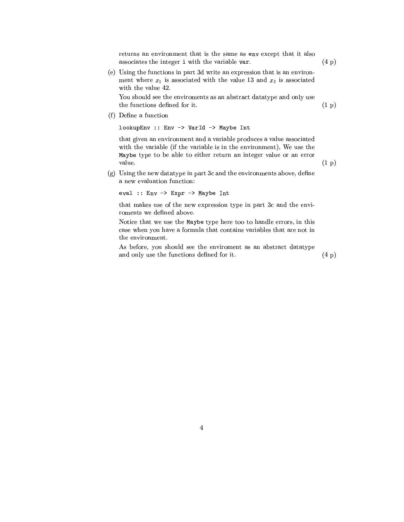returns an environment that is the same as env except that it also associates the integer i with the variable var.

(e) Using the functions in part 3d write an expression that is an environment where  $x_1$  is associated with the value 13 and  $x_3$  is associated with the value 42.

You should see the enviroments as an abstract datatype and only use the functions defined for it.

(f) Define a function

lookupEnv :: Env -> VarId -> Maybe Int

that given an environment and a variable produces a value associated with the variable (if the variable is in the environment), We use the Maybe type to be able to either return an integer value or an error value.

(g) Using the new datatype in part 3c and the environments above, define a new evaluation function:

eval :: Env -> Expr -> Maybe Int

that makes use of the new expression type in part 3c and the enviroments we defined above.

Notice that we use the Maybe type here too to handle errors, in this case when you have a formula that contains variables that are not in the environment.

As before, you should see the enviroment as an abstract datatype and only use the functions defined for it.

 $(4\,\,\mathrm{p})$ 

 $(4 p)$ 

 $(1 p)$ 

 $(1\,\mathrm{p})$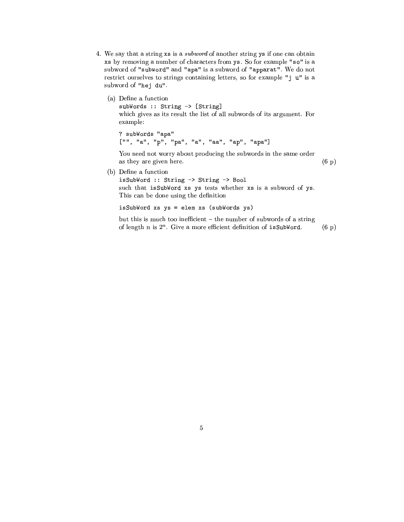- 4. We say that a string xs is a *subword* of another string ys if one can obtain xs by removing a number of characters from ys. So for example "so" is a subword of "subword" and "apa" is a subword of "apparat". We do not restrict ourselves to strings containing letters, so for example "j u" is a subword of "hej du".
	- (a) Define a function subWords :: String -> [String] which gives as its result the list of all subwords of its argument. For example: ? subWords "apa"

["", "a", "p", "pa", "a", "aa", "ap", "apa"]

You need not worry about producing the subwords in the same order as they are given here.  $(6 p)$ 

(b) Define a function

isSubWord :: String -> String -> Bool such that isSubWord xs ys tests whether xs is a subword of ys. This can be done using the definition

isSubWord xs ys = elem xs (subWords ys)

but this is much too inefficient – the number of subwords of a string of length  $n$  is  $2^n$ . Give a more efficient definition of isSubWord.  $(6\ p)$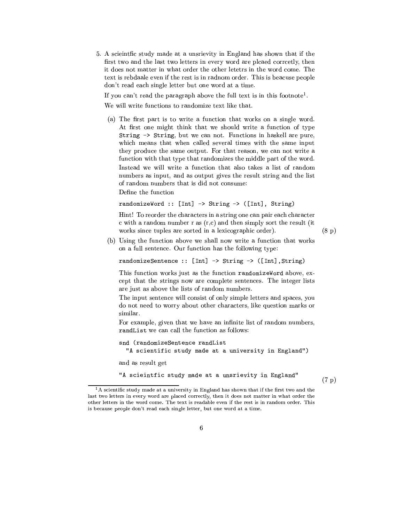5. A scieintfic study made at a unsrievity in England has shown that if the first two and the last two letters in every word are plcaed correctly, then it does not matter in what order the other letetrs in the word come. The text is rebdaale even if the rest is in radnom order. This is beacuse people don't read each single letter but one word at a time.

If you can't read the paragraph above the full text is in this footnote<sup>1</sup>.

We will write functions to randomize text like that.

(a) The first part is to write a function that works on a single word. At first one might think that we should write a function of type String -> String, but we can not. Functions in haskell are pure, which means that when called several times with the same input they produce the same output. For that reason, we can not write a function with that type that randomizes the middle part of the word. Instead we will write a function that also takes a list of random numbers as input, and as output gives the result string and the list of random numbers that is did not consume:

Define the function

randomizeWord :: [Int] -> String -> ([Int], String)

Hint! To reorder the characters in a string one can pair each character c with a random number r as  $(r,c)$  and then simply sort the result (it works since tuples are sorted in a lexicographic order).

 $(8\,\,\mathrm{p})$ 

(b) Using the function above we shall now write a function that works on a full sentence. Our function has the following type:

randomizeSentence :: [Int] -> String -> ([Int], String)

This function works just as the function randomize Word above, except that the strings now are complete sentences. The integer lists are just as above the lists of random numbers.

The input sentence will consist of only simple letters and spaces, you do not need to worry about other characters, like question marks or similar.

For example, given that we have an infinite list of random numbers, randList we can call the function as follows:

```
snd (randomizeSentence randList
  "A scientific study made at a university in England")
```
and as result get

"A scieintfic study made at a unsrievity in England"

 $(7 p)$ 

<sup>&</sup>lt;sup>1</sup>A scientific study made at a university in England has shown that if the first two and the last two letters in every word are placed correctly, then it does not matter in what order the other letters in the word come. The text is readable even if the rest is in random order. This is because people don't read each single letter, but one word at a time.